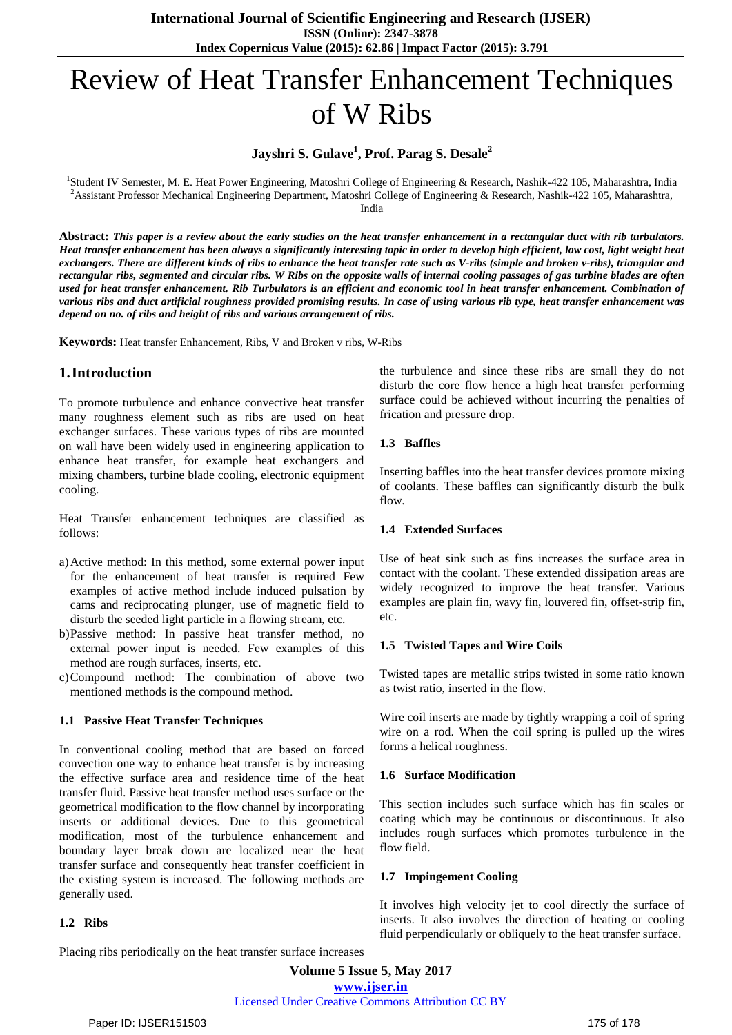# Review of Heat Transfer Enhancement Techniques of W Ribs

# **Jayshri S. Gulave<sup>1</sup> , Prof. Parag S. Desale<sup>2</sup>**

<sup>1</sup>Student IV Semester, M. E. Heat Power Engineering, Matoshri College of Engineering & Research, Nashik-422 105, Maharashtra, India <sup>2</sup>Assistant Professor Mechanical Engineering Department, Matoshri College of Engineering & Research, Nashik-422 105, Maharashtra, India

Abstract: This paper is a review about the early studies on the heat transfer enhancement in a rectangular duct with rib turbulators. Heat transfer enhancement has been always a significantly interesting topic in order to develop high efficient, low cost, light weight heat exchangers. There are different kinds of ribs to enhance the heat transfer rate such as V-ribs (simple and broken v-ribs), triangular and rectangular ribs, segmented and circular ribs. W Ribs on the opposite walls of internal cooling passages of gas turbine blades are often used for heat transfer enhancement. Rib Turbulators is an efficient and economic tool in heat transfer enhancement. Combination of various ribs and duct artificial roughness provided promising results. In case of using various rib type, heat transfer enhancement was *depend on no. of ribs and height of ribs and various arrangement of ribs.*

**Keywords:** Heat transfer Enhancement, Ribs, V and Broken v ribs, W-Ribs

# **1.Introduction**

To promote turbulence and enhance convective heat transfer many roughness element such as ribs are used on heat exchanger surfaces. These various types of ribs are mounted on wall have been widely used in engineering application to enhance heat transfer, for example heat exchangers and mixing chambers, turbine blade cooling, electronic equipment cooling.

Heat Transfer enhancement techniques are classified as follows:

- a)Active method: In this method, some external power input for the enhancement of heat transfer is required Few examples of active method include induced pulsation by cams and reciprocating plunger, use of magnetic field to disturb the seeded light particle in a flowing stream, etc.
- b)Passive method: In passive heat transfer method, no external power input is needed. Few examples of this method are rough surfaces, inserts, etc.
- c)Compound method: The combination of above two mentioned methods is the compound method.

#### **1.1 Passive Heat Transfer Techniques**

In conventional cooling method that are based on forced convection one way to enhance heat transfer is by increasing the effective surface area and residence time of the heat transfer fluid. Passive heat transfer method uses surface or the geometrical modification to the flow channel by incorporating inserts or additional devices. Due to this geometrical modification, most of the turbulence enhancement and boundary layer break down are localized near the heat transfer surface and consequently heat transfer coefficient in the existing system is increased. The following methods are generally used.

#### **1.2 Ribs**

the turbulence and since these ribs are small they do not disturb the core flow hence a high heat transfer performing surface could be achieved without incurring the penalties of

#### **1.3 Baffles**

Inserting baffles into the heat transfer devices promote mixing of coolants. These baffles can significantly disturb the bulk flow.

#### **1.4 Extended Surfaces**

frication and pressure drop.

Use of heat sink such as fins increases the surface area in contact with the coolant. These extended dissipation areas are widely recognized to improve the heat transfer. Various examples are plain fin, wavy fin, louvered fin, offset-strip fin, etc.

#### **1.5 Twisted Tapes and Wire Coils**

Twisted tapes are metallic strips twisted in some ratio known as twist ratio, inserted in the flow.

Wire coil inserts are made by tightly wrapping a coil of spring wire on a rod. When the coil spring is pulled up the wires forms a helical roughness.

#### **1.6 Surface Modification**

This section includes such surface which has fin scales or coating which may be continuous or discontinuous. It also includes rough surfaces which promotes turbulence in the flow field.

#### **1.7 Impingement Cooling**

It involves high velocity jet to cool directly the surface of inserts. It also involves the direction of heating or cooling fluid perpendicularly or obliquely to the heat transfer surface.

Placing ribs periodically on the heat transfer surface increases

**Volume 5 Issue 5, May 2017 www.ijser.in** Licensed Under Creative Commons Attribution CC BY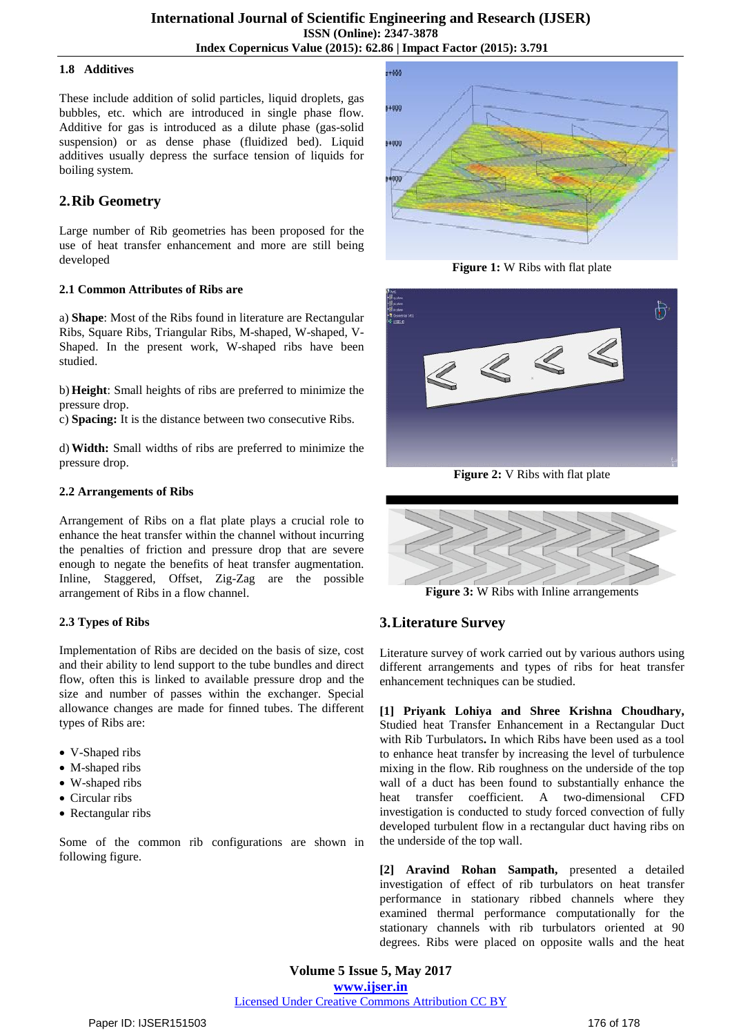#### **1.8 Additives**

These include addition of solid particles, liquid droplets, gas bubbles, etc. which are introduced in single phase flow. Additive for gas is introduced as a dilute phase (gas-solid suspension) or as dense phase (fluidized bed). Liquid additives usually depress the surface tension of liquids for boiling system.

### **2.Rib Geometry**

Large number of Rib geometries has been proposed for the use of heat transfer enhancement and more are still being developed

#### **2.1 Common Attributes of Ribs are**

a) **Shape**: Most of the Ribs found in literature are Rectangular Ribs, Square Ribs, Triangular Ribs, M-shaped, W-shaped, V-Shaped. In the present work, W-shaped ribs have been studied.

b) **Height**: Small heights of ribs are preferred to minimize the pressure drop.

c) **Spacing:** It is the distance between two consecutive Ribs.

d) **Width:** Small widths of ribs are preferred to minimize the pressure drop.

#### **2.2 Arrangements of Ribs**

Arrangement of Ribs on a flat plate plays a crucial role to enhance the heat transfer within the channel without incurring the penalties of friction and pressure drop that are severe enough to negate the benefits of heat transfer augmentation. Inline, Staggered, Offset, Zig-Zag are the possible arrangement of Ribs in a flow channel.

#### **2.3 Types of Ribs**

Implementation of Ribs are decided on the basis of size, cost and their ability to lend support to the tube bundles and direct flow, often this is linked to available pressure drop and the size and number of passes within the exchanger. Special allowance changes are made for finned tubes. The different types of Ribs are:

- V-Shaped ribs
- M-shaped ribs
- W-shaped ribs
- Circular ribs
- Rectangular ribs

Some of the common rib configurations are shown in following figure.



**Figure 1:** W Ribs with flat plate



**Figure 2:** V Ribs with flat plate



**Figure 3:** W Ribs with Inline arrangements

# **3.Literature Survey**

Literature survey of work carried out by various authors using different arrangements and types of ribs for heat transfer enhancement techniques can be studied.

**[1] Priyank Lohiya and Shree Krishna Choudhary,** Studied heat Transfer Enhancement in a Rectangular Duct with Rib Turbulators**.** In which Ribs have been used as a tool to enhance heat transfer by increasing the level of turbulence mixing in the flow. Rib roughness on the underside of the top wall of a duct has been found to substantially enhance the heat transfer coefficient. A two-dimensional CFD investigation is conducted to study forced convection of fully developed turbulent flow in a rectangular duct having ribs on the underside of the top wall.

**[2] Aravind Rohan Sampath,** presented a detailed investigation of effect of rib turbulators on heat transfer performance in stationary ribbed channels where they examined thermal performance computationally for the stationary channels with rib turbulators oriented at 90 degrees. Ribs were placed on opposite walls and the heat

**Volume 5 Issue 5, May 2017 www.ijser.in** Licensed Under Creative Commons Attribution CC BY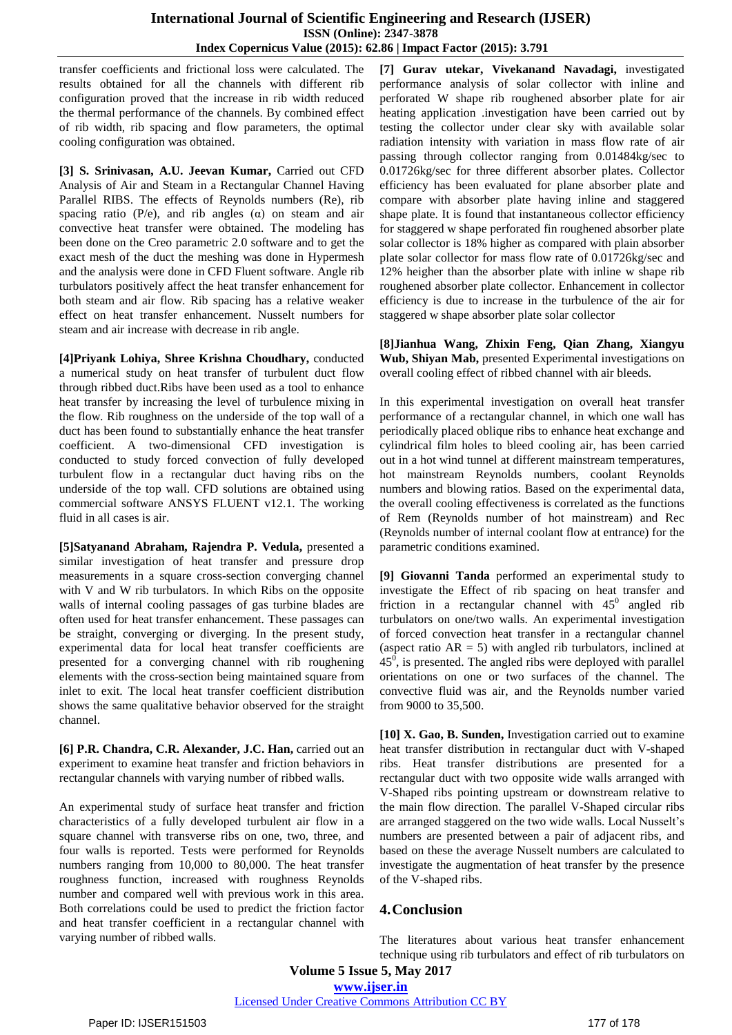transfer coefficients and frictional loss were calculated. The results obtained for all the channels with different rib configuration proved that the increase in rib width reduced the thermal performance of the channels. By combined effect of rib width, rib spacing and flow parameters, the optimal cooling configuration was obtained.

**[3] S. Srinivasan, A.U. Jeevan Kumar,** Carried out CFD Analysis of Air and Steam in a Rectangular Channel Having Parallel RIBS. The effects of Reynolds numbers (Re), rib spacing ratio (P/e), and rib angles  $(\alpha)$  on steam and air convective heat transfer were obtained. The modeling has been done on the Creo parametric 2.0 software and to get the exact mesh of the duct the meshing was done in Hypermesh and the analysis were done in CFD Fluent software. Angle rib turbulators positively affect the heat transfer enhancement for both steam and air flow. Rib spacing has a relative weaker effect on heat transfer enhancement. Nusselt numbers for steam and air increase with decrease in rib angle.

**[4]Priyank Lohiya, Shree Krishna Choudhary,** conducted a numerical study on heat transfer of turbulent duct flow through ribbed duct.Ribs have been used as a tool to enhance heat transfer by increasing the level of turbulence mixing in the flow. Rib roughness on the underside of the top wall of a duct has been found to substantially enhance the heat transfer coefficient. A two-dimensional CFD investigation is conducted to study forced convection of fully developed turbulent flow in a rectangular duct having ribs on the underside of the top wall. CFD solutions are obtained using commercial software ANSYS FLUENT v12.1. The working fluid in all cases is air.

**[5]Satyanand Abraham, Rajendra P. Vedula,** presented a similar investigation of heat transfer and pressure drop measurements in a square cross-section converging channel with V and W rib turbulators. In which Ribs on the opposite walls of internal cooling passages of gas turbine blades are often used for heat transfer enhancement. These passages can be straight, converging or diverging. In the present study, experimental data for local heat transfer coefficients are presented for a converging channel with rib roughening elements with the cross-section being maintained square from inlet to exit. The local heat transfer coefficient distribution shows the same qualitative behavior observed for the straight channel.

**[6] P.R. Chandra, C.R. Alexander, J.C. Han,** carried out an experiment to examine heat transfer and friction behaviors in rectangular channels with varying number of ribbed walls.

An experimental study of surface heat transfer and friction characteristics of a fully developed turbulent air flow in a square channel with transverse ribs on one, two, three, and four walls is reported. Tests were performed for Reynolds numbers ranging from 10,000 to 80,000. The heat transfer roughness function, increased with roughness Reynolds number and compared well with previous work in this area. Both correlations could be used to predict the friction factor and heat transfer coefficient in a rectangular channel with varying number of ribbed walls.

**[7] Gurav utekar, Vivekanand Navadagi,** investigated performance analysis of solar collector with inline and perforated W shape rib roughened absorber plate for air heating application .investigation have been carried out by testing the collector under clear sky with available solar radiation intensity with variation in mass flow rate of air passing through collector ranging from 0.01484kg/sec to 0.01726kg/sec for three different absorber plates. Collector efficiency has been evaluated for plane absorber plate and compare with absorber plate having inline and staggered shape plate. It is found that instantaneous collector efficiency for staggered w shape perforated fin roughened absorber plate solar collector is 18% higher as compared with plain absorber plate solar collector for mass flow rate of 0.01726kg/sec and 12% heigher than the absorber plate with inline w shape rib roughened absorber plate collector. Enhancement in collector efficiency is due to increase in the turbulence of the air for staggered w shape absorber plate solar collector

**[8]Jianhua Wang, Zhixin Feng, Qian Zhang, Xiangyu Wub, Shiyan Mab,** presented Experimental investigations on overall cooling effect of ribbed channel with air bleeds.

In this experimental investigation on overall heat transfer performance of a rectangular channel, in which one wall has periodically placed oblique ribs to enhance heat exchange and cylindrical film holes to bleed cooling air, has been carried out in a hot wind tunnel at different mainstream temperatures, hot mainstream Reynolds numbers, coolant Reynolds numbers and blowing ratios. Based on the experimental data, the overall cooling effectiveness is correlated as the functions of Rem (Reynolds number of hot mainstream) and Rec (Reynolds number of internal coolant flow at entrance) for the parametric conditions examined.

**[9] Giovanni Tanda** performed an experimental study to investigate the Effect of rib spacing on heat transfer and friction in a rectangular channel with  $45^{\circ}$  angled rib turbulators on one/two walls. An experimental investigation of forced convection heat transfer in a rectangular channel (aspect ratio  $AR = 5$ ) with angled rib turbulators, inclined at  $45<sup>0</sup>$ , is presented. The angled ribs were deployed with parallel orientations on one or two surfaces of the channel. The convective fluid was air, and the Reynolds number varied from 9000 to 35,500.

**[10] X. Gao, B. Sunden,** Investigation carried out to examine heat transfer distribution in rectangular duct with V-shaped ribs. Heat transfer distributions are presented for a rectangular duct with two opposite wide walls arranged with V-Shaped ribs pointing upstream or downstream relative to the main flow direction. The parallel V-Shaped circular ribs are arranged staggered on the two wide walls. Local Nusselt's numbers are presented between a pair of adjacent ribs, and based on these the average Nusselt numbers are calculated to investigate the augmentation of heat transfer by the presence of the V-shaped ribs.

# **4.Conclusion**

The literatures about various heat transfer enhancement technique using rib turbulators and effect of rib turbulators on

**Volume 5 Issue 5, May 2017**